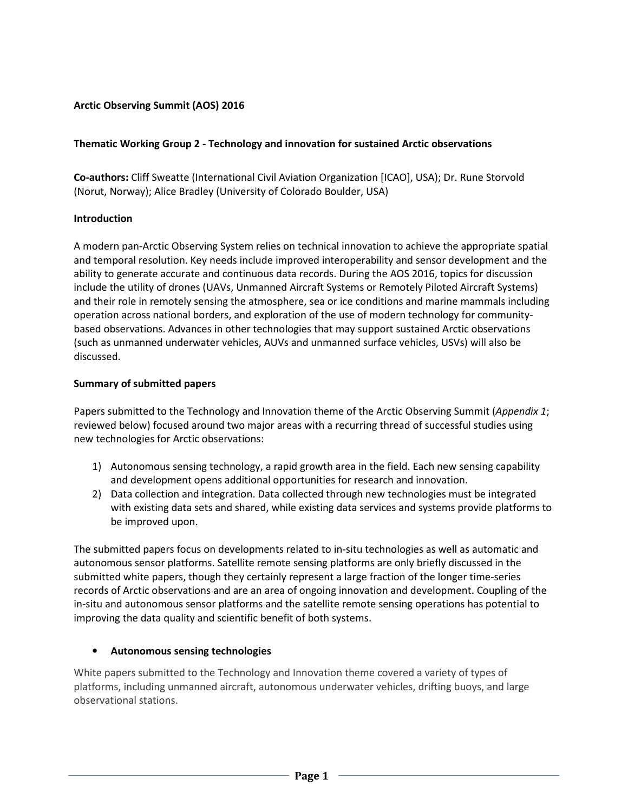# Arctic Observing Summit (AOS) 2016

### Thematic Working Group 2 - Technology and innovation for sustained Arctic observations

Co-authors: Cliff Sweatte (International Civil Aviation Organization [ICAO], USA); Dr. Rune Storvold (Norut, Norway); Alice Bradley (University of Colorado Boulder, USA)

### Introduction

A modern pan-Arctic Observing System relies on technical innovation to achieve the appropriate spatial and temporal resolution. Key needs include improved interoperability and sensor development and the ability to generate accurate and continuous data records. During the AOS 2016, topics for discussion include the utility of drones (UAVs, Unmanned Aircraft Systems or Remotely Piloted Aircraft Systems) and their role in remotely sensing the atmosphere, sea or ice conditions and marine mammals including operation across national borders, and exploration of the use of modern technology for communitybased observations. Advances in other technologies that may support sustained Arctic observations (such as unmanned underwater vehicles, AUVs and unmanned surface vehicles, USVs) will also be discussed.

## Summary of submitted papers

Papers submitted to the Technology and Innovation theme of the Arctic Observing Summit (Appendix 1; reviewed below) focused around two major areas with a recurring thread of successful studies using new technologies for Arctic observations:

- 1) Autonomous sensing technology, a rapid growth area in the field. Each new sensing capability and development opens additional opportunities for research and innovation.
- 2) Data collection and integration. Data collected through new technologies must be integrated with existing data sets and shared, while existing data services and systems provide platforms to be improved upon.

The submitted papers focus on developments related to in-situ technologies as well as automatic and autonomous sensor platforms. Satellite remote sensing platforms are only briefly discussed in the submitted white papers, though they certainly represent a large fraction of the longer time-series records of Arctic observations and are an area of ongoing innovation and development. Coupling of the in-situ and autonomous sensor platforms and the satellite remote sensing operations has potential to improving the data quality and scientific benefit of both systems.

### • Autonomous sensing technologies

White papers submitted to the Technology and Innovation theme covered a variety of types of platforms, including unmanned aircraft, autonomous underwater vehicles, drifting buoys, and large observational stations.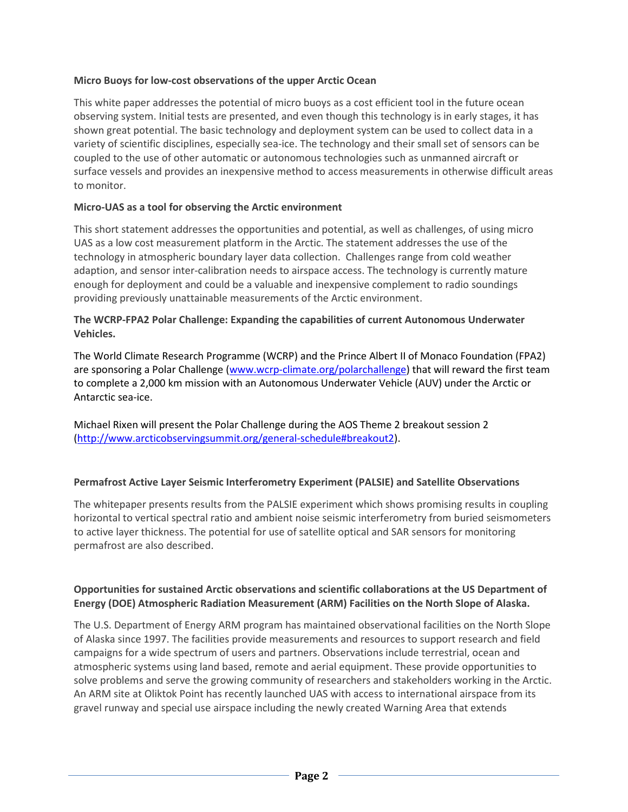### Micro Buoys for low-cost observations of the upper Arctic Ocean

This white paper addresses the potential of micro buoys as a cost efficient tool in the future ocean observing system. Initial tests are presented, and even though this technology is in early stages, it has shown great potential. The basic technology and deployment system can be used to collect data in a variety of scientific disciplines, especially sea-ice. The technology and their small set of sensors can be coupled to the use of other automatic or autonomous technologies such as unmanned aircraft or surface vessels and provides an inexpensive method to access measurements in otherwise difficult areas to monitor.

# Micro-UAS as a tool for observing the Arctic environment

This short statement addresses the opportunities and potential, as well as challenges, of using micro UAS as a low cost measurement platform in the Arctic. The statement addresses the use of the technology in atmospheric boundary layer data collection. Challenges range from cold weather adaption, and sensor inter-calibration needs to airspace access. The technology is currently mature enough for deployment and could be a valuable and inexpensive complement to radio soundings providing previously unattainable measurements of the Arctic environment.

## The WCRP-FPA2 Polar Challenge: Expanding the capabilities of current Autonomous Underwater Vehicles.

The World Climate Research Programme (WCRP) and the Prince Albert II of Monaco Foundation (FPA2) are sponsoring a Polar Challenge (www.wcrp-climate.org/polarchallenge) that will reward the first team to complete a 2,000 km mission with an Autonomous Underwater Vehicle (AUV) under the Arctic or Antarctic sea-ice.

Michael Rixen will present the Polar Challenge during the AOS Theme 2 breakout session 2 (http://www.arcticobservingsummit.org/general-schedule#breakout2).

# Permafrost Active Layer Seismic Interferometry Experiment (PALSIE) and Satellite Observations

The whitepaper presents results from the PALSIE experiment which shows promising results in coupling horizontal to vertical spectral ratio and ambient noise seismic interferometry from buried seismometers to active layer thickness. The potential for use of satellite optical and SAR sensors for monitoring permafrost are also described.

# Opportunities for sustained Arctic observations and scientific collaborations at the US Department of Energy (DOE) Atmospheric Radiation Measurement (ARM) Facilities on the North Slope of Alaska.

The U.S. Department of Energy ARM program has maintained observational facilities on the North Slope of Alaska since 1997. The facilities provide measurements and resources to support research and field campaigns for a wide spectrum of users and partners. Observations include terrestrial, ocean and atmospheric systems using land based, remote and aerial equipment. These provide opportunities to solve problems and serve the growing community of researchers and stakeholders working in the Arctic. An ARM site at Oliktok Point has recently launched UAS with access to international airspace from its gravel runway and special use airspace including the newly created Warning Area that extends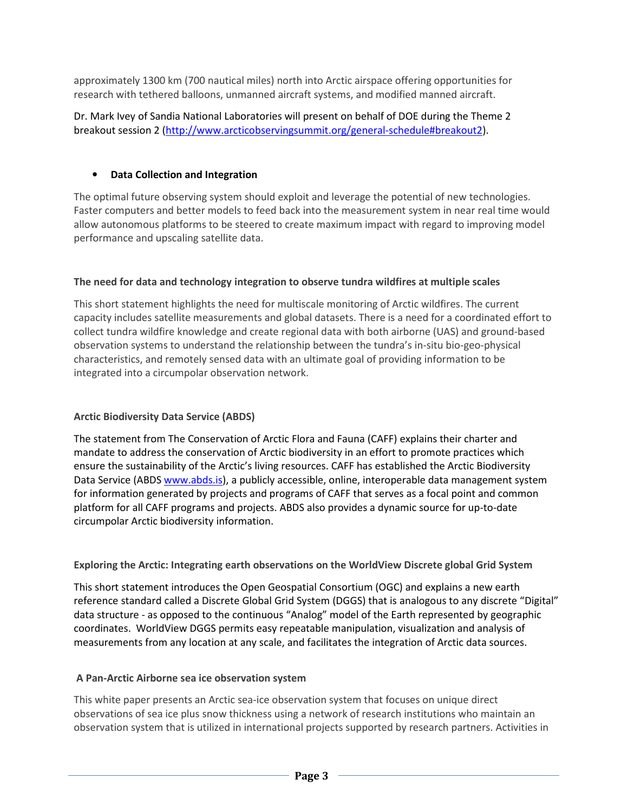approximately 1300 km (700 nautical miles) north into Arctic airspace offering opportunities for research with tethered balloons, unmanned aircraft systems, and modified manned aircraft.

Dr. Mark Ivey of Sandia National Laboratories will present on behalf of DOE during the Theme 2 breakout session 2 (http://www.arcticobservingsummit.org/general-schedule#breakout2).

# • Data Collection and Integration

The optimal future observing system should exploit and leverage the potential of new technologies. Faster computers and better models to feed back into the measurement system in near real time would allow autonomous platforms to be steered to create maximum impact with regard to improving model performance and upscaling satellite data.

# The need for data and technology integration to observe tundra wildfires at multiple scales

This short statement highlights the need for multiscale monitoring of Arctic wildfires. The current capacity includes satellite measurements and global datasets. There is a need for a coordinated effort to collect tundra wildfire knowledge and create regional data with both airborne (UAS) and ground-based observation systems to understand the relationship between the tundra's in-situ bio-geo-physical characteristics, and remotely sensed data with an ultimate goal of providing information to be integrated into a circumpolar observation network.

# Arctic Biodiversity Data Service (ABDS)

The statement from The Conservation of Arctic Flora and Fauna (CAFF) explains their charter and mandate to address the conservation of Arctic biodiversity in an effort to promote practices which ensure the sustainability of the Arctic's living resources. CAFF has established the Arctic Biodiversity Data Service (ABDS www.abds.is), a publicly accessible, online, interoperable data management system for information generated by projects and programs of CAFF that serves as a focal point and common platform for all CAFF programs and projects. ABDS also provides a dynamic source for up-to-date circumpolar Arctic biodiversity information.

# Exploring the Arctic: Integrating earth observations on the WorldView Discrete global Grid System

This short statement introduces the Open Geospatial Consortium (OGC) and explains a new earth reference standard called a Discrete Global Grid System (DGGS) that is analogous to any discrete "Digital" data structure - as opposed to the continuous "Analog" model of the Earth represented by geographic coordinates. WorldView DGGS permits easy repeatable manipulation, visualization and analysis of measurements from any location at any scale, and facilitates the integration of Arctic data sources.

# A Pan-Arctic Airborne sea ice observation system

This white paper presents an Arctic sea-ice observation system that focuses on unique direct observations of sea ice plus snow thickness using a network of research institutions who maintain an observation system that is utilized in international projects supported by research partners. Activities in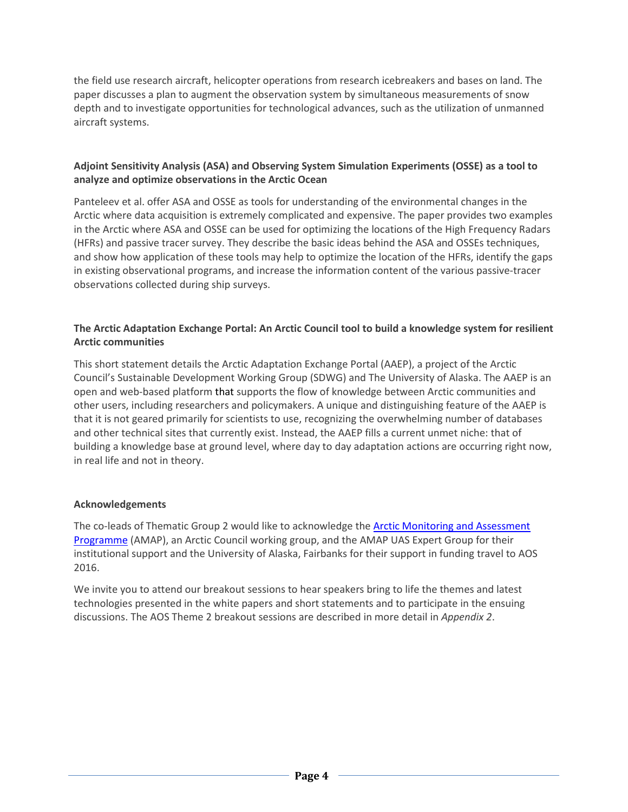the field use research aircraft, helicopter operations from research icebreakers and bases on land. The paper discusses a plan to augment the observation system by simultaneous measurements of snow depth and to investigate opportunities for technological advances, such as the utilization of unmanned aircraft systems.

# Adjoint Sensitivity Analysis (ASA) and Observing System Simulation Experiments (OSSE) as a tool to analyze and optimize observations in the Arctic Ocean

Panteleev et al. offer ASA and OSSE as tools for understanding of the environmental changes in the Arctic where data acquisition is extremely complicated and expensive. The paper provides two examples in the Arctic where ASA and OSSE can be used for optimizing the locations of the High Frequency Radars (HFRs) and passive tracer survey. They describe the basic ideas behind the ASA and OSSEs techniques, and show how application of these tools may help to optimize the location of the HFRs, identify the gaps in existing observational programs, and increase the information content of the various passive-tracer observations collected during ship surveys.

## The Arctic Adaptation Exchange Portal: An Arctic Council tool to build a knowledge system for resilient Arctic communities

This short statement details the Arctic Adaptation Exchange Portal (AAEP), a project of the Arctic Council's Sustainable Development Working Group (SDWG) and The University of Alaska. The AAEP is an open and web-based platform that supports the flow of knowledge between Arctic communities and other users, including researchers and policymakers. A unique and distinguishing feature of the AAEP is that it is not geared primarily for scientists to use, recognizing the overwhelming number of databases and other technical sites that currently exist. Instead, the AAEP fills a current unmet niche: that of building a knowledge base at ground level, where day to day adaptation actions are occurring right now, in real life and not in theory.

### Acknowledgements

The co-leads of Thematic Group 2 would like to acknowledge the Arctic Monitoring and Assessment Programme (AMAP), an Arctic Council working group, and the AMAP UAS Expert Group for their institutional support and the University of Alaska, Fairbanks for their support in funding travel to AOS 2016.

We invite you to attend our breakout sessions to hear speakers bring to life the themes and latest technologies presented in the white papers and short statements and to participate in the ensuing discussions. The AOS Theme 2 breakout sessions are described in more detail in Appendix 2.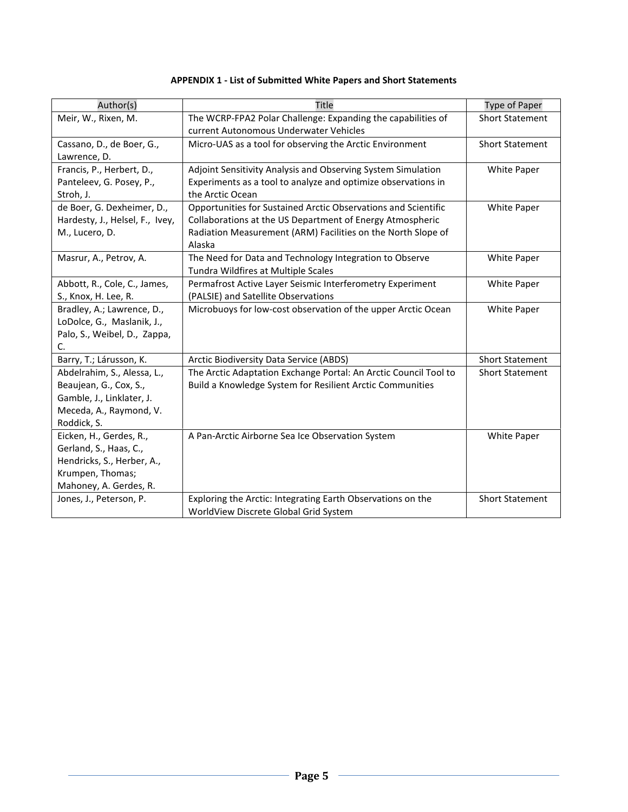| Author(s)                       | <b>Title</b>                                                     | Type of Paper          |
|---------------------------------|------------------------------------------------------------------|------------------------|
| Meir, W., Rixen, M.             | The WCRP-FPA2 Polar Challenge: Expanding the capabilities of     | <b>Short Statement</b> |
|                                 | current Autonomous Underwater Vehicles                           |                        |
| Cassano, D., de Boer, G.,       | Micro-UAS as a tool for observing the Arctic Environment         | <b>Short Statement</b> |
| Lawrence, D.                    |                                                                  |                        |
| Francis, P., Herbert, D.,       | Adjoint Sensitivity Analysis and Observing System Simulation     | White Paper            |
| Panteleev, G. Posey, P.,        | Experiments as a tool to analyze and optimize observations in    |                        |
| Stroh, J.                       | the Arctic Ocean                                                 |                        |
| de Boer, G. Dexheimer, D.,      | Opportunities for Sustained Arctic Observations and Scientific   | White Paper            |
| Hardesty, J., Helsel, F., Ivey, | Collaborations at the US Department of Energy Atmospheric        |                        |
| M., Lucero, D.                  | Radiation Measurement (ARM) Facilities on the North Slope of     |                        |
|                                 | Alaska                                                           |                        |
| Masrur, A., Petrov, A.          | The Need for Data and Technology Integration to Observe          | White Paper            |
|                                 | Tundra Wildfires at Multiple Scales                              |                        |
| Abbott, R., Cole, C., James,    | Permafrost Active Layer Seismic Interferometry Experiment        | White Paper            |
| S., Knox, H. Lee, R.            | (PALSIE) and Satellite Observations                              |                        |
| Bradley, A.; Lawrence, D.,      | Microbuoys for low-cost observation of the upper Arctic Ocean    | White Paper            |
| LoDolce, G., Maslanik, J.,      |                                                                  |                        |
| Palo, S., Weibel, D., Zappa,    |                                                                  |                        |
| C.                              |                                                                  |                        |
| Barry, T.; Lárusson, K.         | Arctic Biodiversity Data Service (ABDS)                          | <b>Short Statement</b> |
| Abdelrahim, S., Alessa, L.,     | The Arctic Adaptation Exchange Portal: An Arctic Council Tool to | <b>Short Statement</b> |
| Beaujean, G., Cox, S.,          | Build a Knowledge System for Resilient Arctic Communities        |                        |
| Gamble, J., Linklater, J.       |                                                                  |                        |
| Meceda, A., Raymond, V.         |                                                                  |                        |
| Roddick, S.                     |                                                                  |                        |
| Eicken, H., Gerdes, R.,         | A Pan-Arctic Airborne Sea Ice Observation System                 | White Paper            |
| Gerland, S., Haas, C.,          |                                                                  |                        |
| Hendricks, S., Herber, A.,      |                                                                  |                        |
| Krumpen, Thomas;                |                                                                  |                        |
| Mahoney, A. Gerdes, R.          |                                                                  |                        |
| Jones, J., Peterson, P.         | Exploring the Arctic: Integrating Earth Observations on the      | <b>Short Statement</b> |
|                                 | WorldView Discrete Global Grid System                            |                        |

## APPENDIX 1 - List of Submitted White Papers and Short Statements